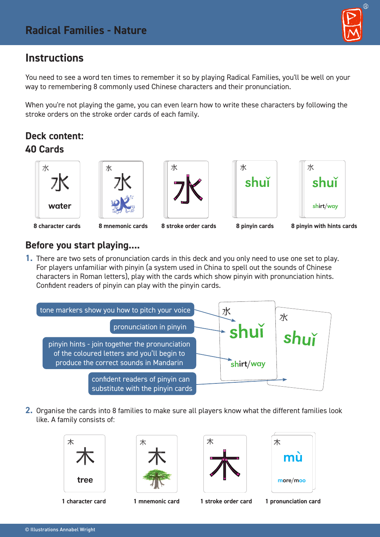# **Instructions**

You need to see a word ten times to remember it so by playing Radical Families, you'll be well on your way to remembering 8 commonly used Chinese characters and their pronunciation.

When you're not playing the game, you can even learn how to write these characters by following the stroke orders on the stroke order cards of each family.

## **Deck content: 40 Cards**





水





#### **8 character cards 8 mnemonic cards 8 stroke order cards 8 pinyin cards 8 pinyin with hints cards**

#### **Before you start playing....**

**1.** There are two sets of pronunciation cards in this deck and you only need to use one set to play. For players unfamiliar with pinyin (a system used in China to spell out the sounds of Chinese characters in Roman letters), play with the cards which show pinyin with pronunciation hints. Confident readers of pinyin can play with the pinyin cards.



**2.** Organise the cards into 8 families to make sure all players know what the different families look like. A family consists of:













**1 character card 1 mnemonic card 1 stroke order card 1 pronunciation card**



 $\overline{R}$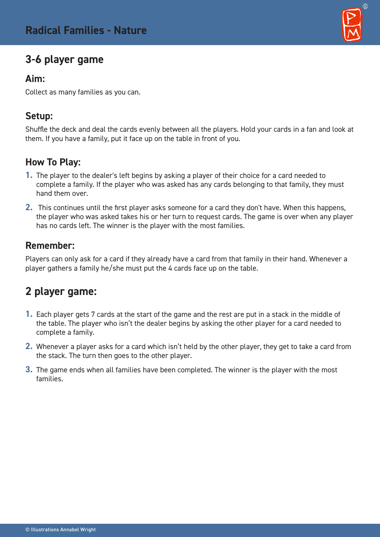# **3-6 player game**

#### **Aim:**

Collect as many families as you can.

### **Setup:**

Shuffle the deck and deal the cards evenly between all the players. Hold your cards in a fan and look at them. If you have a family, put it face up on the table in front of you.

### **How To Play:**

- **1.** The player to the dealer's left begins by asking a player of their choice for a card needed to complete a family. If the player who was asked has any cards belonging to that family, they must hand them over.
- **2.** This continues until the first player asks someone for a card they don't have. When this happens, the player who was asked takes his or her turn to request cards. The game is over when any player has no cards left. The winner is the player with the most families.

### **Remember:**

Players can only ask for a card if they already have a card from that family in their hand. Whenever a player gathers a family he/she must put the 4 cards face up on the table.

# **2 player game:**

- **1.** Each player gets 7 cards at the start of the game and the rest are put in a stack in the middle of the table. The player who isn't the dealer begins by asking the other player for a card needed to complete a family.
- **2.** Whenever a player asks for a card which isn't held by the other player, they get to take a card from the stack. The turn then goes to the other player.
- **3.** The game ends when all families have been completed. The winner is the player with the most families.